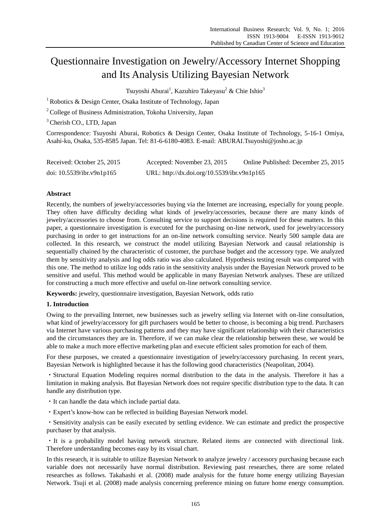# Questionnaire Investigation on Jewelry/Accessory Internet Shopping and Its Analysis Utilizing Bayesian Network

Tsuyoshi Aburai $^1$ , Kazuhiro Takeyasu $^2$  & Chie Ishio $^3$ 

<sup>1</sup> Robotics & Design Center, Osaka Institute of Technology, Japan

<sup>2</sup> College of Business Administration, Tokoha University, Japan

<sup>3</sup> Cherish CO., LTD, Japan

Correspondence: Tsuyoshi Aburai, Robotics & Design Center, Osaka Institute of Technology, 5-16-1 Omiya, Asahi-ku, Osaka, 535-8585 Japan. Tel: 81-6-6180-4083. E-mail: ABURAI.Tsuyoshi@josho.ac.jp

| Received: October 25, 2015   | Accepted: November 23, 2015                 | Online Published: December 25, 2015 |
|------------------------------|---------------------------------------------|-------------------------------------|
| doi: $10.5539$ /ibr.v9n1p165 | URL: http://dx.doi.org/10.5539/ibr.v9n1p165 |                                     |

# **Abstract**

Recently, the numbers of jewelry/accessories buying via the Internet are increasing, especially for young people. They often have difficulty deciding what kinds of jewelry/accessories, because there are many kinds of jewelry/accessories to choose from. Consulting service to support decisions is required for these matters. In this paper, a questionnaire investigation is executed for the purchasing on-line network, used for jewelry/accessory purchasing in order to get instructions for an on-line network consulting service. Nearly 500 sample data are collected. In this research, we construct the model utilizing Bayesian Network and causal relationship is sequentially chained by the characteristic of customer, the purchase budget and the accessory type. We analyzed them by sensitivity analysis and log odds ratio was also calculated. Hypothesis testing result was compared with this one. The method to utilize log odds ratio in the sensitivity analysis under the Bayesian Network proved to be sensitive and useful. This method would be applicable in many Bayesian Network analyses. These are utilized for constructing a much more effective and useful on-line network consulting service.

**Keywords:** jewelry, questionnaire investigation, Bayesian Network, odds ratio

## **1. Introduction**

Owing to the prevailing Internet, new businesses such as jewelry selling via Internet with on-line consultation, what kind of jewelry/accessory for gift purchasers would be better to choose, is becoming a big trend. Purchasers via Internet have various purchasing patterns and they may have significant relationship with their characteristics and the circumstances they are in. Therefore, if we can make clear the relationship between these, we would be able to make a much more effective marketing plan and execute efficient sales promotion for each of them.

For these purposes, we created a questionnaire investigation of jewelry/accessory purchasing. In recent years, Bayesian Network is highlighted because it has the following good characteristics (Neapolitan, 2004).

・Structural Equation Modeling requires normal distribution to the data in the analysis. Therefore it has a limitation in making analysis. But Bayesian Network does not require specific distribution type to the data. It can handle any distribution type.

- ・It can handle the data which include partial data.
- ・Expert's know-how can be reflected in building Bayesian Network model.

・Sensitivity analysis can be easily executed by settling evidence. We can estimate and predict the prospective purchaser by that analysis.

・It is a probability model having network structure. Related items are connected with directional link. Therefore understanding becomes easy by its visual chart.

In this research, it is suitable to utilize Bayesian Network to analyze jewelry / accessory purchasing because each variable does not necessarily have normal distribution. Reviewing past researches, there are some related researches as follows. Takahashi et al. (2008) made analysis for the future home energy utilizing Bayesian Network. Tsuji et al. (2008) made analysis concerning preference mining on future home energy consumption.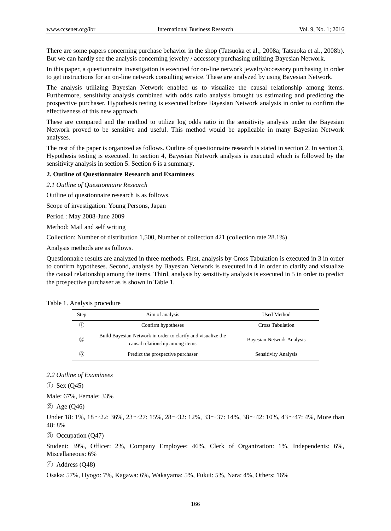There are some papers concerning purchase behavior in the shop (Tatsuoka et al., 2008a; Tatsuoka et al., 2008b). But we can hardly see the analysis concerning jewelry / accessory purchasing utilizing Bayesian Network.

In this paper, a questionnaire investigation is executed for on-line network jewelry/accessory purchasing in order to get instructions for an on-line network consulting service. These are analyzed by using Bayesian Network.

The analysis utilizing Bayesian Network enabled us to visualize the causal relationship among items. Furthermore, sensitivity analysis combined with odds ratio analysis brought us estimating and predicting the prospective purchaser. Hypothesis testing is executed before Bayesian Network analysis in order to confirm the effectiveness of this new approach.

These are compared and the method to utilize log odds ratio in the sensitivity analysis under the Bayesian Network proved to be sensitive and useful. This method would be applicable in many Bayesian Network analyses.

The rest of the paper is organized as follows. Outline of questionnaire research is stated in section 2. In section 3, Hypothesis testing is executed. In section 4, Bayesian Network analysis is executed which is followed by the sensitivity analysis in section 5. Section 6 is a summary.

#### **2. Outline of Questionnaire Research and Examinees**

*2.1 Outline of Questionnaire Research*

Outline of questionnaire research is as follows.

Scope of investigation: Young Persons, Japan

Period : May 2008-June 2009

Method: Mail and self writing

Collection: Number of distribution 1,500, Number of collection 421 (collection rate 28.1%)

Analysis methods are as follows.

Questionnaire results are analyzed in three methods. First, analysis by Cross Tabulation is executed in 3 in order to confirm hypotheses. Second, analysis by Bayesian Network is executed in 4 in order to clarify and visualize the causal relationship among the items. Third, analysis by sensitivity analysis is executed in 5 in order to predict the prospective purchaser as is shown in Table 1.

#### Table 1. Analysis procedure

| Step | Aim of analysis                                                                                 | Used Method                      |
|------|-------------------------------------------------------------------------------------------------|----------------------------------|
| 0    | Confirm hypotheses                                                                              | Cross Tabulation                 |
| 2    | Build Bayesian Network in order to clarify and visualize the<br>causal relationship among items | <b>Bayesian Network Analysis</b> |
| (3)  | Predict the prospective purchaser                                                               | Sensitivity Analysis             |

#### *2.2 Outline of Examinees*

① Sex (Q45)

Male: 67%, Female: 33%

② Age (Q46)

Under 18: 1%,  $18 \sim 22$ :  $36\%, 23 \sim 27$ :  $15\%, 28 \sim 32$ :  $12\%, 33 \sim 37$ :  $14\%, 38 \sim 42$ :  $10\%, 43 \sim 47$ :  $4\%,$  More than  $48.8\%$ 

③ Occupation (Q47)

Student: 39%, Officer: 2%, Company Employee: 46%, Clerk of Organization: 1%, Independents: 6%, Miscellaneous: 6%

④ Address (Q48)

Osaka: 57%, Hyogo: 7%, Kagawa: 6%, Wakayama: 5%, Fukui: 5%, Nara: 4%, Others: 16%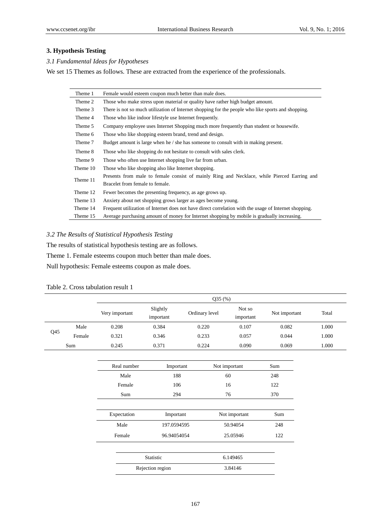# **3. Hypothesis Testing**

# *3.1 Fundamental Ideas for Hypotheses*

We set 15 Themes as follows. These are extracted from the experience of the professionals.

| Theme 2  | Those who make stress upon material or quality have rather high budget amount.                         |
|----------|--------------------------------------------------------------------------------------------------------|
| Theme 3  | There is not so much utilization of Internet shopping for the people who like sports and shopping.     |
| Theme 4  | Those who like indoor lifestyle use Internet frequently.                                               |
| Theme 5  | Company employee uses Internet Shopping much more frequently than student or housewife.                |
| Theme 6  | Those who like shopping esteem brand, trend and design.                                                |
| Theme 7  | Budget amount is large when he / she has someone to consult with in making present.                    |
| Theme 8  | Those who like shopping do not hesitate to consult with sales clerk.                                   |
| Theme 9  | Those who often use Internet shopping live far from urban.                                             |
| Theme 10 | Those who like shopping also like Internet shopping.                                                   |
| Theme 11 | Presents from male to female consist of mainly Ring and Necklace, while Pierced Earring and            |
|          | Bracelet from female to female.                                                                        |
| Theme 12 | Fewer becomes the presenting frequency, as age grows up.                                               |
| Theme 13 | Anxiety about net shopping grows larger as ages become young.                                          |
| Theme 14 | Frequent utilization of Internet does not have direct correlation with the usage of Internet shopping. |
| Theme 15 | Average purchasing amount of money for Internet shopping by mobile is gradually increasing.            |

# *3.2 The Results of Statistical Hypothesis Testing*

The results of statistical hypothesis testing are as follows.

Theme 1. Female esteems coupon much better than male does.

Null hypothesis: Female esteems coupon as male does.

| Table 2. Cross tabulation result 1 |  |
|------------------------------------|--|
|                                    |  |

|                 |        |                |                       | Q35 (%)        |                     |               |       |
|-----------------|--------|----------------|-----------------------|----------------|---------------------|---------------|-------|
|                 |        | Very important | Slightly<br>important | Ordinary level | Not so<br>important | Not important | Total |
|                 | Male   | 0.208          | 0.384                 | 0.220          | 0.107               | 0.082         | 1.000 |
| Q <sub>45</sub> | Female | 0.321          | 0.346                 | 0.233          | 0.057               | 0.044         | 1.000 |
|                 | Sum    | 0.245          | 0.371                 | 0.224          | 0.090               | 0.069         | 1.000 |
|                 |        | Real number    | Important             |                | Not important       | Sum           |       |
|                 |        | Male           | 188                   |                | 60                  | 248           |       |
|                 |        | Female         | 106                   |                | 16                  | 122           |       |
|                 |        | Sum            | 294                   |                | 76                  | 370           |       |
|                 |        | Expectation    | Important             |                | Not important       | Sum           |       |
|                 |        | Male           | 197.0594595           |                | 50.94054            | 248           |       |
|                 |        | Female         | 96.94054054           |                | 25.05946            | 122           |       |
|                 |        |                | Statistic             |                |                     |               |       |
|                 |        |                |                       | 6.149465       |                     |               |       |
|                 |        |                | Rejection region      |                | 3.84146             |               |       |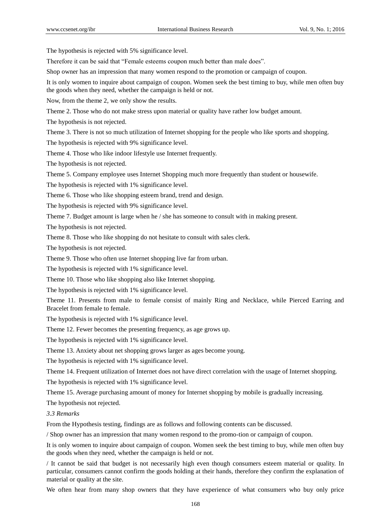The hypothesis is rejected with 5% significance level.

Therefore it can be said that "Female esteems coupon much better than male does".

Shop owner has an impression that many women respond to the promotion or campaign of coupon.

It is only women to inquire about campaign of coupon. Women seek the best timing to buy, while men often buy the goods when they need, whether the campaign is held or not.

Now, from the theme 2, we only show the results.

Theme 2. Those who do not make stress upon material or quality have rather low budget amount.

The hypothesis is not rejected.

Theme 3. There is not so much utilization of Internet shopping for the people who like sports and shopping.

The hypothesis is rejected with 9% significance level.

Theme 4. Those who like indoor lifestyle use Internet frequently.

The hypothesis is not rejected.

Theme 5. Company employee uses Internet Shopping much more frequently than student or housewife.

The hypothesis is rejected with 1% significance level.

Theme 6. Those who like shopping esteem brand, trend and design.

The hypothesis is rejected with 9% significance level.

Theme 7. Budget amount is large when he / she has someone to consult with in making present.

The hypothesis is not rejected.

Theme 8. Those who like shopping do not hesitate to consult with sales clerk.

The hypothesis is not rejected.

Theme 9. Those who often use Internet shopping live far from urban.

The hypothesis is rejected with 1% significance level.

Theme 10. Those who like shopping also like Internet shopping.

The hypothesis is rejected with 1% significance level.

Theme 11. Presents from male to female consist of mainly Ring and Necklace, while Pierced Earring and Bracelet from female to female.

The hypothesis is rejected with 1% significance level.

Theme 12. Fewer becomes the presenting frequency, as age grows up.

The hypothesis is rejected with 1% significance level.

Theme 13. Anxiety about net shopping grows larger as ages become young.

The hypothesis is rejected with 1% significance level.

Theme 14. Frequent utilization of Internet does not have direct correlation with the usage of Internet shopping.

The hypothesis is rejected with 1% significance level.

Theme 15. Average purchasing amount of money for Internet shopping by mobile is gradually increasing.

The hypothesis not rejected.

*3.3 Remarks*

From the Hypothesis testing, findings are as follows and following contents can be discussed.

/ Shop owner has an impression that many women respond to the promo-tion or campaign of coupon.

It is only women to inquire about campaign of coupon. Women seek the best timing to buy, while men often buy the goods when they need, whether the campaign is held or not.

/ It cannot be said that budget is not necessarily high even though consumers esteem material or quality. In particular, consumers cannot confirm the goods holding at their hands, therefore they confirm the explanation of material or quality at the site.

We often hear from many shop owners that they have experience of what consumers who buy only price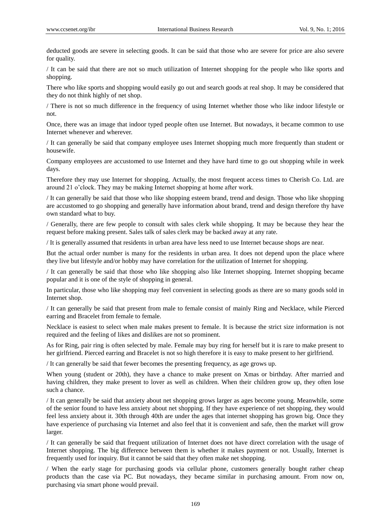deducted goods are severe in selecting goods. It can be said that those who are severe for price are also severe for quality.

/ It can be said that there are not so much utilization of Internet shopping for the people who like sports and shopping.

There who like sports and shopping would easily go out and search goods at real shop. It may be considered that they do not think highly of net shop.

/ There is not so much difference in the frequency of using Internet whether those who like indoor lifestyle or not.

Once, there was an image that indoor typed people often use Internet. But nowadays, it became common to use Internet whenever and wherever.

/ It can generally be said that company employee uses Internet shopping much more frequently than student or housewife.

Company employees are accustomed to use Internet and they have hard time to go out shopping while in week days.

Therefore they may use Internet for shopping. Actually, the most frequent access times to Cherish Co. Ltd. are around 21 o'clock. They may be making Internet shopping at home after work.

/ It can generally be said that those who like shopping esteem brand, trend and design. Those who like shopping are accustomed to go shopping and generally have information about brand, trend and design therefore thy have own standard what to buy.

/ Generally, there are few people to consult with sales clerk while shopping. It may be because they hear the request before making present. Sales talk of sales clerk may be backed away at any rate.

/ It is generally assumed that residents in urban area have less need to use Internet because shops are near.

But the actual order number is many for the residents in urban area. It does not depend upon the place where they live but lifestyle and/or hobby may have correlation for the utilization of Internet for shopping.

/ It can generally be said that those who like shopping also like Internet shopping. Internet shopping became popular and it is one of the style of shopping in general.

In particular, those who like shopping may feel convenient in selecting goods as there are so many goods sold in Internet shop.

/ It can generally be said that present from male to female consist of mainly Ring and Necklace, while Pierced earring and Bracelet from female to female.

Necklace is easiest to select when male makes present to female. It is because the strict size information is not required and the feeling of likes and dislikes are not so prominent.

As for Ring, pair ring is often selected by male. Female may buy ring for herself but it is rare to make present to her girlfriend. Pierced earring and Bracelet is not so high therefore it is easy to make present to her girlfriend.

/ It can generally be said that fewer becomes the presenting frequency, as age grows up.

When young (student or 20th), they have a chance to make present on Xmas or birthday. After married and having children, they make present to lover as well as children. When their children grow up, they often lose such a chance.

/ It can generally be said that anxiety about net shopping grows larger as ages become young. Meanwhile, some of the senior found to have less anxiety about net shopping. If they have experience of net shopping, they would feel less anxiety about it. 30th through 40th are under the ages that internet shopping has grown big. Once they have experience of purchasing via Internet and also feel that it is convenient and safe, then the market will grow larger.

/ It can generally be said that frequent utilization of Internet does not have direct correlation with the usage of Internet shopping. The big difference between them is whether it makes payment or not. Usually, Internet is frequently used for inquiry. But it cannot be said that they often make net shopping.

/ When the early stage for purchasing goods via cellular phone, customers generally bought rather cheap products than the case via PC. But nowadays, they became similar in purchasing amount. From now on, purchasing via smart phone would prevail.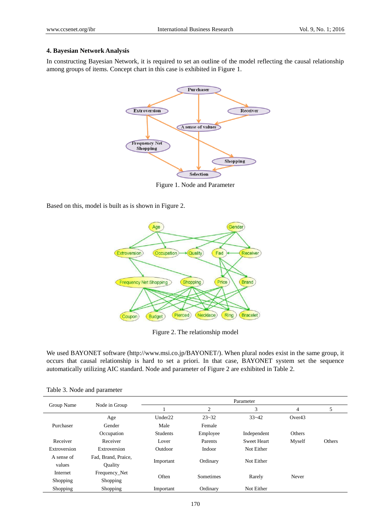#### **4. Bayesian Network Analysis**

In constructing Bayesian Network, it is required to set an outline of the model reflecting the causal relationship among groups of items. Concept chart in this case is exhibited in Figure 1.



Figure 1. Node and Parameter

Based on this, model is built as is shown in Figure 2.



Figure 2. The relationship model

We used BAYONET software (http://www.msi.co.jp/BAYONET/). When plural nodes exist in the same group, it occurs that causal relationship is hard to set a priori. In that case, BAYONET system set the sequence automatically utilizing AIC standard. Node and parameter of Figure 2 are exhibited in Table 2.

|              |                     | Parameter       |                |                    |                |        |  |  |  |
|--------------|---------------------|-----------------|----------------|--------------------|----------------|--------|--|--|--|
| Group Name   | Node in Group       |                 | $\overline{c}$ | 3                  | $\overline{4}$ | 5      |  |  |  |
|              | Age                 | Under22         | $23 - 32$      | $33 - 42$          | Over43         |        |  |  |  |
| Purchaser    | Gender              | Male            | Female         |                    |                |        |  |  |  |
|              | Occupation          | <b>Students</b> | Employee       | Independent        | <b>Others</b>  |        |  |  |  |
| Receiver     | Receiver            | Lover           | Parents        | <b>Sweet Heart</b> | Myself         | Others |  |  |  |
| Extroversion | Extroversion        | Outdoor         | Indoor         | Not Either         |                |        |  |  |  |
| A sense of   | Fad, Brand, Praice, |                 | Ordinary       | Not Either         |                |        |  |  |  |
| values       | Ouality             | Important       |                |                    |                |        |  |  |  |
| Internet     | Frequency_Net       | Often           | Sometimes      | Rarely             | Never          |        |  |  |  |
| Shopping     | Shopping            |                 |                |                    |                |        |  |  |  |
| Shopping     | Shopping            | Important       | Ordinary       | Not Either         |                |        |  |  |  |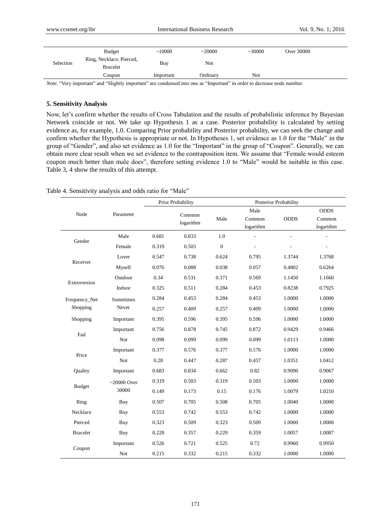|           | <b>Budget</b>            | ~10000    | ~20000   | ~230000 | Over 30000 |  |
|-----------|--------------------------|-----------|----------|---------|------------|--|
| Selection | Ring, Necklace, Pierced, |           | Not      |         |            |  |
|           | <b>Bracelet</b>          | Buy       |          |         |            |  |
|           | Coupon                   | Important | Ordinary | Not     |            |  |
|           |                          |           |          |         |            |  |

*Note.* "Very important" and "Slightly important" are condensed into one as "Important" in order to decrease node number.

# **5. Sensitivity Analysis**

Now, let's confirm whether the results of Cross Tabulation and the results of probabilistic inference by Bayesian Network coincide or not. We take up Hypothesis 1 as a case. Posterior probability is calculated by setting evidence as, for example, 1.0. Comparing Prior probability and Posterior probability, we can seek the change and confirm whether the Hypothesis is appropriate or not. In Hypotheses 1, set evidence as 1.0 for the "Male" in the group of "Gender", and also set evidence as 1.0 for the "Important" in the group of "Coupon". Generally, we can obtain more clear result when we set evidence to the contraposition item. We assume that "Female would esteem coupon much better than male does", therefore setting evidence 1.0 to "Male" would be suitable in this case. Table 3, 4 show the results of this attempt.

Table 4. Sensitivity analysis and odds ratio for "Male"

|                 |                   |       | Prior Probability   |                |                             | <b>Posterior Probability</b> |                                    |
|-----------------|-------------------|-------|---------------------|----------------|-----------------------------|------------------------------|------------------------------------|
| Node            | Parameter         |       | Common<br>logarithm | Male           | Male<br>Common<br>logarithm | <b>ODDS</b>                  | <b>ODDS</b><br>Common<br>logarithm |
|                 | Male              | 0.681 | 0.833               | 1.0            |                             |                              |                                    |
| Gender          | Female            | 0.319 | 0.503               | $\overline{0}$ |                             |                              |                                    |
| Receiver        | Lover             | 0.547 | 0.738               | 0.624          | 0.795                       | 1.3744                       | 1.3768                             |
|                 | Myself            | 0.076 | 0.088               | 0.038          | 0.057                       | 0.4802                       | 0.6264                             |
|                 | Outdoor           | 0.34  | 0.531               | 0.371          | 0.569                       | 1.1450                       | 1.1660                             |
| Extroversion    | Indoor            | 0.325 | 0.511               | 0.284          | 0.453                       | 0.8238                       | 0.7925                             |
| Frequency_Net   | Sometimes         | 0.284 | 0.453               | 0.284          | 0.453                       | 1.0000                       | 1.0000                             |
| Shopping        | Never             | 0.257 | 0.409               | 0.257          | 0.409                       | 1.0000                       | 1.0000                             |
| Shopping        | Important         | 0.395 | 0.596               | 0.395          | 0.596                       | 1.0000                       | 1.0000                             |
| Fad             | Important         | 0.756 | 0.878               | 0.745          | 0.872                       | 0.9429                       | 0.9466                             |
|                 | Not               | 0.098 | 0.099               | 0.099          | 0.099                       | 1.0113                       | 1.0000                             |
| Price           | Important         | 0.377 | 0.576               | 0.377          | 0.576                       | 1.0000                       | 1.0000                             |
|                 | <b>Not</b>        | 0.28  | 0.447               | 0.287          | 0.457                       | 1.0351                       | 1.0412                             |
| Quality         | Important         | 0.683 | 0.834               | 0.662          | 0.82                        | 0.9090                       | 0.9067                             |
|                 | $\sim$ 20000 Over | 0.319 | 0.503               | 0.319          | 0.503                       | 1.0000                       | 1.0000                             |
| <b>Budget</b>   | 30000             | 0.149 | 0.173               | 0.15           | 0.176                       | 1.0079                       | 1.0210                             |
| Ring            | Buy               | 0.507 | 0.705               | 0.508          | 0.705                       | 1.0040                       | 1.0000                             |
| Necklace        | Buy               | 0.553 | 0.742               | 0.553          | 0.742                       | 1.0000                       | 1.0000                             |
| Pierced         | Buy               | 0.323 | 0.509               | 0.323          | 0.509                       | 1.0000                       | 1.0000                             |
| <b>Bracelet</b> | Buy               | 0.228 | 0.357               | 0.229          | 0.359                       | 1.0057                       | 1.0087                             |
|                 | Important         | 0.526 | 0.721               | 0.525          | 0.72                        | 0.9960                       | 0.9950                             |
| Coupon          | Not               | 0.215 | 0.332               | 0.215          | 0.332                       | 1.0000                       | 1.0000                             |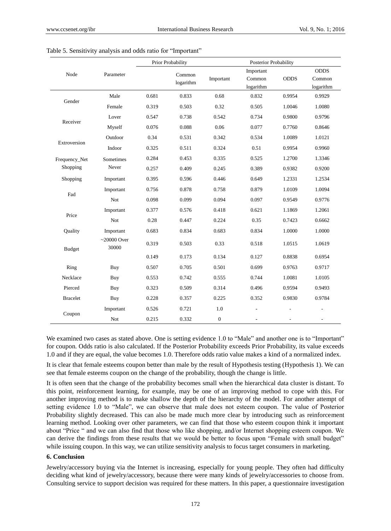|                 |                            |       | Prior Probability   |                  | Posterior Probability            |             |                                    |  |  |
|-----------------|----------------------------|-------|---------------------|------------------|----------------------------------|-------------|------------------------------------|--|--|
| Node            | Parameter                  |       | Common<br>logarithm | Important        | Important<br>Common<br>logarithm | <b>ODDS</b> | <b>ODDS</b><br>Common<br>logarithm |  |  |
|                 | Male                       | 0.681 | 0.833               | 0.68             | 0.832                            | 0.9954      | 0.9929                             |  |  |
| Gender          | Female                     | 0.319 | 0.503               | 0.32             | 0.505                            | 1.0046      | 1.0080                             |  |  |
| Receiver        | Lover                      | 0.547 | 0.738               | 0.542            | 0.734                            | 0.9800      | 0.9796                             |  |  |
|                 | Myself                     | 0.076 | 0.088               | 0.06             | 0.077                            | 0.7760      | 0.8646                             |  |  |
|                 | Outdoor                    | 0.34  | 0.531               | 0.342            | 0.534                            | 1.0089      | 1.0121                             |  |  |
| Extroversion    | Indoor                     | 0.325 | 0.511               | 0.324            | 0.51                             | 0.9954      | 0.9960                             |  |  |
| Frequency_Net   | Sometimes                  | 0.284 | 0.453               | 0.335            | 0.525                            | 1.2700      | 1.3346                             |  |  |
| Shopping        | Never                      | 0.257 | 0.409               | 0.245            | 0.389                            | 0.9382      | 0.9200                             |  |  |
| Shopping        | Important                  | 0.395 | 0.596               | 0.446            | 0.649                            | 1.2331      | 1.2534                             |  |  |
| Fad             | Important                  | 0.756 | 0.878               | 0.758            | 0.879                            | 1.0109      | 1.0094                             |  |  |
|                 | Not                        | 0.098 | 0.099               | 0.094            | 0.097                            | 0.9549      | 0.9776                             |  |  |
|                 | Important                  | 0.377 | 0.576               | 0.418            | 0.621                            | 1.1869      | 1.2061                             |  |  |
| Price           | <b>Not</b>                 | 0.28  | 0.447               | 0.224            | 0.35                             | 0.7423      | 0.6662                             |  |  |
| Quality         | Important                  | 0.683 | 0.834               | 0.683            | 0.834                            | 1.0000      | 1.0000                             |  |  |
| <b>Budget</b>   | $\sim$ 20000 Over<br>30000 | 0.319 | 0.503               | 0.33             | 0.518                            | 1.0515      | 1.0619                             |  |  |
|                 |                            | 0.149 | 0.173               | 0.134            | 0.127                            | 0.8838      | 0.6954                             |  |  |
| Ring            | Buy                        | 0.507 | 0.705               | 0.501            | 0.699                            | 0.9763      | 0.9717                             |  |  |
| Necklace        | Buy                        | 0.553 | 0.742               | 0.555            | 0.744                            | 1.0081      | 1.0105                             |  |  |
| Pierced         | Buy                        | 0.323 | 0.509               | 0.314            | 0.496                            | 0.9594      | 0.9493                             |  |  |
| <b>Bracelet</b> | Buy                        | 0.228 | 0.357               | 0.225            | 0.352                            | 0.9830      | 0.9784                             |  |  |
|                 | Important                  | 0.526 | 0.721               | 1.0              | $\blacksquare$                   |             |                                    |  |  |
| Coupon          | Not                        | 0.215 | 0.332               | $\boldsymbol{0}$ | $\blacksquare$                   |             |                                    |  |  |

Table 5. Sensitivity analysis and odds ratio for "Important"

We examined two cases as stated above. One is setting evidence 1.0 to "Male" and another one is to "Important" for coupon. Odds ratio is also calculated. If the Posterior Probability exceeds Prior Probability, its value exceeds 1.0 and if they are equal, the value becomes 1.0. Therefore odds ratio value makes a kind of a normalized index.

It is clear that female esteems coupon better than male by the result of Hypothesis testing (Hypothesis 1). We can see that female esteems coupon on the change of the probability, though the change is little.

It is often seen that the change of the probability becomes small when the hierarchical data cluster is distant. To this point, reinforcement learning, for example, may be one of an improving method to cope with this. For another improving method is to make shallow the depth of the hierarchy of the model. For another attempt of setting evidence 1.0 to "Male", we can observe that male does not esteem coupon. The value of Posterior Probability slightly decreased. This can also be made much more clear by introducing such as reinforcement learning method. Looking over other parameters, we can find that those who esteem coupon think it important about "Price " and we can also find that those who like shopping, and/or Internet shopping esteem coupon. We can derive the findings from these results that we would be better to focus upon "Female with small budget" while issuing coupon. In this way, we can utilize sensitivity analysis to focus target consumers in marketing.

## **6. Conclusion**

Jewelry/accessory buying via the Internet is increasing, especially for young people. They often had difficulty deciding what kind of jewelry/accessory, because there were many kinds of jewelry/accessories to choose from. Consulting service to support decision was required for these matters. In this paper, a questionnaire investigation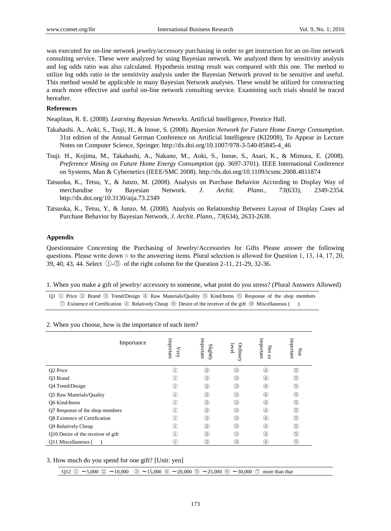was executed for on-line network jewelry/accessory purchasing in order to get instruction for an on-line network consulting service. These were analyzed by using Bayesian network. We analyzed them by sensitivity analysis and log odds ratio was also calculated. Hypothesis testing result was compared with this one. The method to utilize log odds ratio in the sensitivity analysis under the Bayesian Network proved to be sensitive and useful. This method would be applicable in many Bayesian Network analyses. These would be utilized for constructing a much more effective and useful on-line network consulting service. Examining such trials should be traced hereafter.

#### **References**

Neaplitan, R. E. (2008). *Learning Bayesian Networks*. Artificial Intelligence, Prentice Hall.

- Takahashi. A., Aoki, S., Tsuji, H., & Inoue, S. (2008). *Bayesian Network for Future Home Energy Consumption*. 31st edition of the Annual German Conference on Artificial Intelligence (KI2008), To Appear in Lecture Notes on Computer Science, Springer. [http://dx.doi.org/10.1007/978-3-540-85845-4\\_46](http://dx.doi.org/10.1007/978-3-540-85845-4_46)
- Tsuji. H., Kojima, M., Takahashi, A., Nakano, M., Aoki, S., Inoue, S., Asari, K., & Mimura, E. (2008). *Preference Mining on Future Home Energy Consumption* (pp. 3697-3701). IEEE International Conference on Systems, Man & Cybernetics (IEEE/SMC 2008). http://dx.doi.org/10.1109/icsmc.2008.4811874
- Tatsuoka, K., Tetsu, Y., & Junzo, M. (2008). Analysis on Purchase Behavior According to Display Way of merchandise by Bayesian Network. *J. Archit. Plann., 73*(633), 2349-2354. http://dx.doi.org/10.3130/aija.73.2349
- Tatsuoka, K., Tetsu, Y., & Junzo, M. (2008). Analysis on Relationship Between Layout of Display Cases ad Purchase Behavior by Bayesian Network. *J. Archit. Plann., 73*(634), 2633-2638.

#### **Appendix**

Questionnaire Concerning the Purchasing of Jewelry/Accessories for Gifts Please answer the following questions. Please write down  $\circ$  to the answering items. Plural selection is allowed for Question 1, 13, 14, 17, 20, 39, 40, 43, 44. Select ①-⑤ of the right column for the Question 2-11, 21-29, 32-36.

1. When you make a gift of jewelry/ accessory to someone, what point do you stress? (Plural Answers Allowed)

Q1 ① Price ② Brand ③ Trend/Design ④ Raw Materials/Quality ⑤ Kind/Items ⑥ Response of the shop members ⑦ Existence of Certification ⑧ Relatively Cheap ⑨ Desire of the receiver of the gift ⑩ Miscellaneous ( )

|  |  |  |  |  |  |  |  | 2. When you choose, how is the importance of each item? |  |  |  |  |
|--|--|--|--|--|--|--|--|---------------------------------------------------------|--|--|--|--|
|--|--|--|--|--|--|--|--|---------------------------------------------------------|--|--|--|--|

| Importance                           | important<br>Very | important<br>Slightly | Ordinary<br>level | important<br>Not<br>$80^{\circ}$ | important<br>Not |
|--------------------------------------|-------------------|-----------------------|-------------------|----------------------------------|------------------|
| <b>O2</b> Price                      | Œ                 | (2)                   | $\circled{3}$     | $\circled{4}$                    | $\circledS$      |
| O3 Brand                             | Œ.                | 2                     | $\circled{3}$     | 4                                | $\circledS$      |
| Q4 Trend/Design                      | Œ                 | 2                     | 3                 | 4                                | (5)              |
| Q5 Raw Materials/Quality             | Œ                 | (2)                   | $\circled{3}$     | 4                                | $\circledS$      |
| <b>O6 Kind/Items</b>                 | Œ                 | 2                     | 3                 | $\mathcal{A}$                    | $\circledS$      |
| Q7 Response of the shop members      | Œ,                | $\circled{2}$         | $\circled{3}$     | $\circled{4}$                    | $\circledS$      |
| <b>O8</b> Existence of Certification | Œ                 | $\circled{2}$         | 3                 | $\mathcal{A}$                    | $\circledS$      |
| Q9 Relatively Cheap                  | Œ                 | $\circled{2}$         | $\circled{3}$     | $\circled{4}$                    | $\circledS$      |
| Q10 Desire of the receiver of gift   | Œ.                | 2                     | 3                 | 4                                | $\circledS$      |
| O11 Miscellaneous (                  |                   | 2                     | ☺                 | ④                                | $\circledS$      |

3. How much do you spend for one gift? [Unit: yen]

Q12 ① ~5,000 ② ~10,000 ③ ~15,000 ④ ~20,000 ⑤ ~25,000 ⑥ ~30,000 ⑦ more than that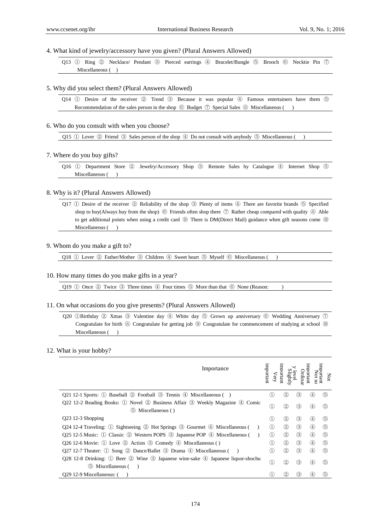#### 4. What kind of jewelry/accessory have you given? (Plural Answers Allowed)

Q13 ① Ring ② Necklace/ Pendant ③ Pierced earrings ④ Bracelet/Bungle ⑤ Brooch ⑥ Necktie Pin ⑦ Miscellaneous ()

#### 5. Why did you select them? (Plural Answers Allowed)

Q14 ① Desire of the receiver ② Trend ③ Because it was popular ④ Famous entertainers have them ⑤ Recommendation of the sales person in the shop  $\circled{6}$  Budget  $\circled{7}$  Special Sales  $\circled{8}$  Miscellaneous ()

### 6. Who do you consult with when you choose?

Q15 ① Lover ② Friend ③ Sales person of the shop  $\overline{4}$ ) Do not consult with anybody ⑤ Miscellaneous ()

#### 7. Where do you buy gifts?

Q16 ① Department Store ② Jewelry/Accessory Shop ③ Remote Sales by Catalogue ④ Internet Shop ⑤ Miscellaneous ()

#### 8. Why is it? (Plural Answers Allowed)

Q17 ① Desire of the receiver ② Reliability of the shop ③ Plenty of items ④ There are favorite brands ⑤ Specified shop to buy(Always buy from the shop) ⑥ Friends often shop there ⑦ Rather cheap compared with quality ⑧ Able to get additional points when using a credit card ⑨ There is DM(Direct Mail) guidance when gift seasons come ⑩ Miscellaneous ()

#### 9. Whom do you make a gift to?

Q18 ① Lover ② Father/Mother ③ Children ④ Sweet heart ⑤ Myself ⑥ Miscellaneous ( )

#### 10. How many times do you make gifts in a year?

Q19 ① Once ② Twice ③ Three times ④ Four times ⑤ More than that ⑥ None (Reason:

#### 11. On what occasions do you give presents? (Plural Answers Allowed)

Q20 ①Birthday ② Xmas ③ Valentine day ④ White day ⑤ Grown up anniversary ⑥ Wedding Anniversary ⑦ Congratulate for birth ⑧ Congratulate for getting job ⑨ Congratulate for commencement of studying at school ⑩ Miscellaneous ( )

#### 12. What is your hobby?

| Importance                                                                                                             | mportant<br>$\mbox{V} \mathrm{e} \mbox{r} \mbox{\r{y}}$ | portant<br>ligh |               | Mot so<br>Not so<br>porta | Not |
|------------------------------------------------------------------------------------------------------------------------|---------------------------------------------------------|-----------------|---------------|---------------------------|-----|
|                                                                                                                        |                                                         |                 | EI            |                           |     |
| Q21 12-1 Sports: ① Baseball ② Football ③ Tennis ④ Miscellaneous ()                                                     | $\left( 1\right)$                                       | 2               | (3)           | (4)                       | (5) |
| Q22 12-2 Reading Books: ① Novel ② Business Affair ③ Weekly Magazine ④ Comic                                            | Œ                                                       | 2               | 3             | (4)                       | (5) |
| Miscellaneous ()<br>(5)                                                                                                |                                                         |                 |               |                           |     |
| Q23 12-3 Shopping                                                                                                      | (1)                                                     | $\circled{2}$   | (3)           | $\left( 4 \right)$        | (5) |
| Q24 12-4 Traveling: $\odot$ Sightseeing $\odot$ Hot Springs $\odot$ Gourmet $\odot$ Miscellaneous (                    | (1)                                                     | (2)             | 3             | (4)                       | (5) |
| Q25 12-5 Music: ① Classic ② Western POPS ③ Japanese POP ④ Miscellaneous (                                              | (1)                                                     | 2               | $\circled{3}$ | (4)                       | (5) |
| Q26 12-6 Movie: $\odot$ Love $\odot$ Action $\odot$ Comedy $\odot$ Miscellaneous ()                                    | (1)                                                     | 2               | $\circled{3}$ | (4)                       | (5) |
| Q27 12-7 Theater: $\overline{1}$ Song $\overline{2}$ Dance/Ballet $\overline{3}$ Drama $\overline{4}$ Miscellaneous () | $\left(1\right)$                                        | $\circled{2}$   | 3             | (4)                       | (5) |
| Q28 12-8 Drinking: ① Beer ② Wine ③ Japanese wine-sake ④ Japanese liquor-shochu                                         | Œ                                                       | 2               | (3)           | (4)                       | (5) |
| Miscellaneous (<br>(5)                                                                                                 |                                                         |                 |               |                           |     |
| O29 12-9 Miscellaneous: (                                                                                              | $\left(1\right)$                                        | $\rm _{(2)}$    | (3)           | 4                         | (5) |